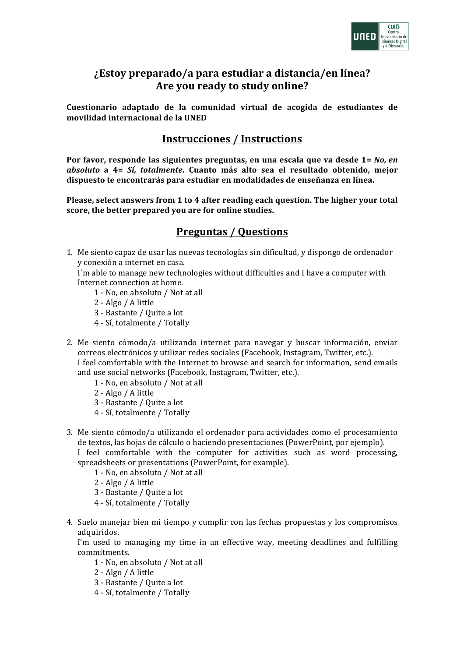

## *i***Estoy preparado/a para estudiar a distancia/en línea?** Are you ready to study online?

**Cuestionario adaptado de la comunidad virtual de acogida de estudiantes de movilidad internacional de la UNED**

## **Instrucciones / Instructions**

**Por favor, responde las siguientes preguntas, en una escala que va desde 1=** *No, en absoluto* **a 4=**  *Sí, totalmente***. Cuanto más alto sea el resultado obtenido, mejor**  dispuesto te encontrarás para estudiar en modalidades de enseñanza en línea.

Please, select answers from 1 to 4 after reading each question. The higher your total **score, the better prepared you are for online studies.**

## **Preguntas / Questions**

1. Me siento capaz de usar las nuevas tecnologías sin dificultad, y dispongo de ordenador y conexión a internet en casa. 

I'm able to manage new technologies without difficulties and I have a computer with Internet connection at home.

- 1 No, en absoluto / Not at all
- 2 Algo / A little
- 3 Bastante / Quite a lot
- 4 - Sí, totalmente / Totally
- 2. Me siento cómodo/a utilizando internet para navegar y buscar información, enviar correos electrónicos y utilizar redes sociales (Facebook, Instagram, Twitter, etc.). I feel comfortable with the Internet to browse and search for information, send emails and use social networks (Facebook, Instagram, Twitter, etc.).
	- 1 No, en absoluto / Not at all
	- 2 Algo / A little
	- 3 - Bastante / Quite a lot
	- 4 - Sí, totalmente / Totally
- 3. Me siento cómodo/a utilizando el ordenador para actividades como el procesamiento de textos, las hojas de cálculo o haciendo presentaciones (PowerPoint, por ejemplo).

I feel comfortable with the computer for activities such as word processing, spreadsheets or presentations (PowerPoint, for example).

- 1 No, en absoluto / Not at all
- 2 Algo / A little
- 3 Bastante / Quite a lot
- 4 Sí, totalmente / Totally
- 4. Suelo manejar bien mi tiempo y cumplir con las fechas propuestas y los compromisos adquiridos.

I'm used to managing my time in an effective way, meeting deadlines and fulfilling commitments.

- 1 No, en absoluto / Not at all
- 2 Algo / A little
- 3 Bastante / Quite a lot
- 4 Sí, totalmente / Totally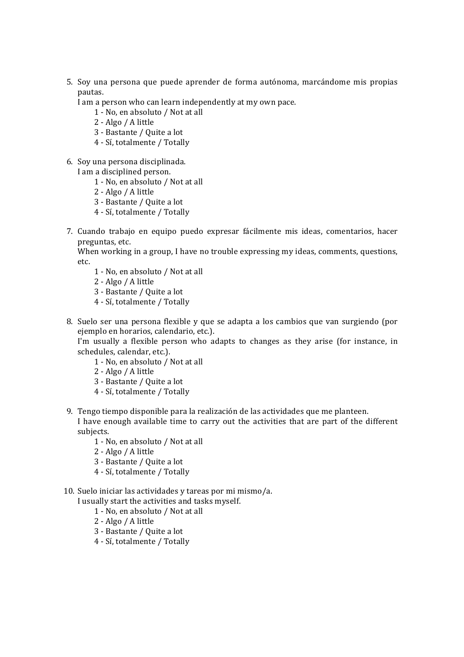5. Soy una persona que puede aprender de forma autónoma, marcándome mis propias pautas.

I am a person who can learn independently at my own pace.

- 1 No, en absoluto / Not at all
- 2 Algo / A little
- 3 Bastante / Quite a lot
- 4 - Sí, totalmente / Totally
- 6. Soy una persona disciplinada.
- I am a disciplined person.
	- 1 No, en absoluto / Not at all
	- 2 Algo / A little
	- 3 - Bastante / Quite a lot
	- 4 - Sí, totalmente / Totally
- 7. Cuando trabajo en equipo puedo expresar fácilmente mis ideas, comentarios, hacer preguntas, etc.

When working in a group, I have no trouble expressing my ideas, comments, questions, etc. 

- 1 No, en absoluto / Not at all
- 2 Algo / A little
- 3 Bastante / Quite a lot
- 4 Sí, totalmente / Totally
- 8. Suelo ser una persona flexible y que se adapta a los cambios que van surgiendo (por ejemplo en horarios, calendario, etc.).

I'm usually a flexible person who adapts to changes as they arise (for instance, in schedules, calendar, etc.).

- 1 No, en absoluto / Not at all
- $2 \text{Algo}/\text{A little}$
- 3 Bastante / Quite a lot
- 4 - Sí, totalmente / Totally
- 9. Tengo tiempo disponible para la realización de las actividades que me planteen. I have enough available time to carry out the activities that are part of the different subjects.
	- 1 No, en absoluto / Not at all
	- 2 Algo / A little
	- 3 Bastante / Quite a lot
	- 4 Sí, totalmente / Totally

10. Suelo iniciar las actividades y tareas por mi mismo/a.

I usually start the activities and tasks myself.

- 1 No, en absoluto / Not at all
- 2 Algo / A little
- 3 Bastante / Quite a lot
- 4 Sí, totalmente / Totally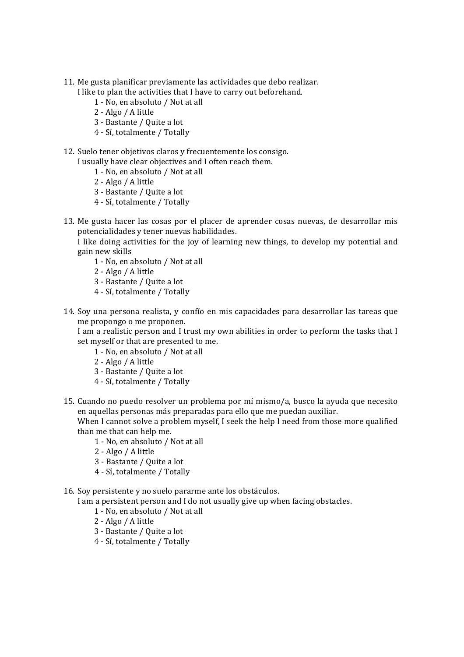- 11. Me gusta planificar previamente las actividades que debo realizar.
	- I like to plan the activities that I have to carry out beforehand.
		- 1 No, en absoluto / Not at all
		- 2 Algo / A little
		- 3 Bastante / Quite a lot
		- 4 Sí, totalmente / Totally
- 12. Suelo tener objetivos claros y frecuentemente los consigo.
	- I usually have clear objectives and I often reach them.
		- 1 No, en absoluto / Not at all
		- 2 Algo / A little
		- 3 Bastante / Quite a lot
		- 4 - Sí, totalmente / Totally
- 13. Me gusta hacer las cosas por el placer de aprender cosas nuevas, de desarrollar mis potencialidades y tener nuevas habilidades.
	- I like doing activities for the joy of learning new things, to develop my potential and gain new skills
		- 1 No, en absoluto / Not at all
		- 2 Algo / A little
		- 3 Bastante / Quite a lot
		- 4 Sí, totalmente / Totally
- 14. Soy una persona realista, y confío en mis capacidades para desarrollar las tareas que me propongo o me proponen.

I am a realistic person and I trust my own abilities in order to perform the tasks that I set myself or that are presented to me.

- 1 No, en absoluto / Not at all
- 2 Algo / A little
- 3 - Bastante / Quite a lot
- 4 Sí, totalmente / Totally
- 15. Cuando no puedo resolver un problema por mí mismo/a, busco la ayuda que necesito en aquellas personas más preparadas para ello que me puedan auxiliar.

When I cannot solve a problem myself, I seek the help I need from those more qualified than me that can help me.

- 1 No, en absoluto / Not at all
- 2 Algo / A little
- 3 Bastante / Quite a lot
- 4 Sí, totalmente / Totally

16. Soy persistente y no suelo pararme ante los obstáculos.

I am a persistent person and I do not usually give up when facing obstacles.

- 1 No, en absoluto / Not at all
- 2 Algo / A little
- 3 Bastante / Quite a lot
- 4 Sí, totalmente / Totally